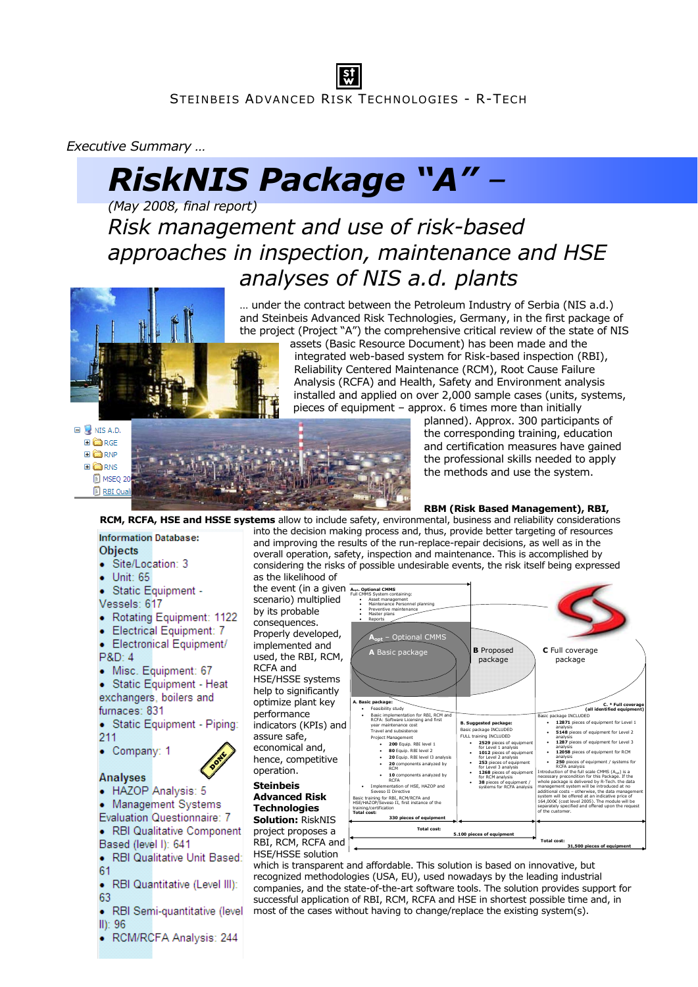# *Executive Summary …*

# *RiskNIS Package "A" –*

*(May 2008, final report) Risk management and use of risk-based approaches in inspection, maintenance and HSE analyses of NIS a.d. plants* 



… under the contract between the Petroleum Industry of Serbia (NIS a.d.) and Steinbeis Advanced Risk Technologies, Germany, in the first package of the project (Project "A") the comprehensive critical review of the state of NIS

assets (Basic Resource Document) has been made and the integrated web-based system for Risk-based inspection (RBI), Reliability Centered Maintenance (RCM), Root Cause Failure Analysis (RCFA) and Health, Safety and Environment analysis installed and applied on over 2,000 sample cases (units, systems, pieces of equipment – approx. 6 times more than initially

 $\blacksquare$  NIS A.D. **EI** COIRGE **EI**CORNP **EI** CORNS



planned). Approx. 300 participants of the corresponding training, education and certification measures have gained the professional skills needed to apply the methods and use the system.

# **RBM (Risk Based Management), RBI,**

**RCM, RCFA, HSE and HSSE systems** allow to include safety, environmental, business and reliability considerations into the decision making process and, thus, provide better targeting of resources and improving the results of the run-replace-repair decisions, as well as in the overall operation, safety, inspection and maintenance. This is accomplished by considering the risks of possible undesirable events, the risk itself being expressed

**Objects** · Site/Location: 3

**Information Database:** 

- $-$  Unit: 65
- · Static Equipment -Vessels: 617
- Rotating Equipment: 1122
- Electrical Equipment: 7
- Electronical Equipment/
- P&D: 4
- · Misc. Equipment: 67
- · Static Equipment Heat exchangers, boilers and furnaces: 831
- · Static Equipment Piping: 211
- Company: 1
- 

# **Analyses**

- · HAZOP Analysis: 5
- Management Systems
- **Evaluation Questionnaire: 7** • RBI Qualitative Component
- Based (level I): 641
- · RBI Qualitative Unit Based: 61
- ۰
- RBI Quantitative (Level III): 63
- RBI Semi-quantitative (level  $II)$ : 96

• RCM/RCFA Analysis: 244

as the likelihood of the event (in a given **Aopt. Optional CMMS** scenario) multiplied by its probable consequences. Properly developed, implemented and used, the RBI, RCM, RCFA and HSE/HSSE systems help to significantly optimize plant key performance indicators (KPIs) and assure safe, economical and, hence, competitive operation. **Steinbeis Advanced Risk** 

**Technologies Solution:** RiskNIS project proposes a

RBI, RCM, RCFA and HSE/HSSE solution



which is transparent and affordable. This solution is based on innovative, but recognized methodologies (USA, EU), used nowadays by the leading industrial companies, and the state-of-the-art software tools. The solution provides support for successful application of RBI, RCM, RCFA and HSE in shortest possible time and, in most of the cases without having to change/replace the existing system(s).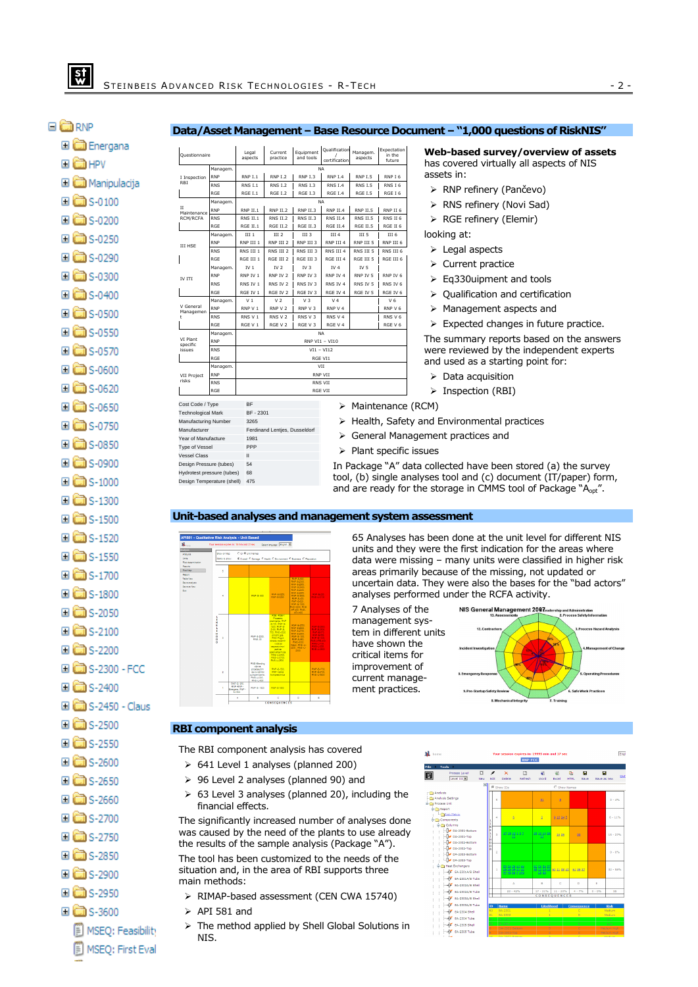#### 日**高**RNP  $\approx$   $-$

#### **Data/Asset Management – Base Resource Document – "1,000 questions of RiskNIS"**

| Energana لسا ك                 |
|--------------------------------|
| ⊟ dd HPV                       |
| ⊞ <mark>ûd</mark> Manipulacija |
| $\Box$ S-0100                  |
| ⊞ <mark>à</mark> s-0200        |
| $\Box$ S-0250                  |
| ⊞ <mark>à</mark> s-0290        |
| ⊟ <mark>aa</mark> s-0300       |
| <b>⊟ coo</b> ns-0400           |
| $\Box$ S-0500                  |
| $\Box$ S-0550                  |
| $\Box$ S-0570                  |
| $\Box$ S-0600                  |
| $\Box$ S-0620                  |
| $\Box$ S-0650                  |
| $\Box$ S-0750                  |
| ⊞ <mark>aa</mark> s-0850       |
| ⊞ <mark>à</mark> s-0900        |
| $\Box$ S-1000                  |
| $\Box$ $\Box$ S-1300           |
| $\Box$ S-1500                  |
| <b>নে লিং</b> : 1520           |

| Questionnaire                        |            | Legal<br>aspects | Current<br>practice            | Equipment<br>and tools | Qualification<br>certification | Managem.<br>aspects          | Expectation<br>in the<br>future |  |  |  |  |
|--------------------------------------|------------|------------------|--------------------------------|------------------------|--------------------------------|------------------------------|---------------------------------|--|--|--|--|
|                                      | Managem.   | <b>NA</b>        |                                |                        |                                |                              |                                 |  |  |  |  |
| I Inspection<br>RBI                  | <b>RNP</b> | <b>RNP I.1</b>   | <b>RNP I.2</b>                 | RNP I.3                | <b>RNP I.4</b>                 | <b>RNP I.5</b>               | RNP I 6                         |  |  |  |  |
|                                      | <b>RNS</b> | <b>RNS I.1</b>   | <b>RNS I.2</b>                 | <b>RNS I.3</b>         | <b>RNS I.4</b>                 | <b>RNS I.5</b>               | RNS I 6                         |  |  |  |  |
|                                      | RGE        | RGE I.1          | <b>RGE I.2</b>                 | <b>RGE I.3</b>         | RGE I.4                        | <b>RGE I.5</b>               | RGE I 6                         |  |  |  |  |
| II<br>Maintenance<br><b>RCM/RCFA</b> | Managem.   | <b>NA</b>        |                                |                        |                                |                              |                                 |  |  |  |  |
|                                      | <b>RNP</b> | RNP II.1         | RNP II.2                       | <b>RNP II.3</b>        | RNP II.4                       | <b>RNP II.5</b>              | RNP II 6                        |  |  |  |  |
|                                      | <b>RNS</b> | RNS II.1         | <b>RNS II.2</b>                | <b>RNS II.3</b>        | RNS II.4                       | <b>RNS II.5</b>              | RNS II 6                        |  |  |  |  |
|                                      | RGE        | RGE II.1         | <b>RGE II.2</b>                | RGE II.3               | RGE II.4                       | RGE II.5                     | RGE II 6                        |  |  |  |  |
|                                      | Managem.   | III 1            | III <sub>2</sub>               | III <sub>3</sub>       | III <sub>4</sub>               | III <sub>5</sub>             | III <sub>6</sub>                |  |  |  |  |
| <b>III HSE</b>                       | <b>RNP</b> | RNP III 1        | RNP III 2                      | RNP III 3              | RNP III 4                      | RNP III 5                    | RNP III 6                       |  |  |  |  |
|                                      | <b>RNS</b> | RNS III 1        | RNS III 2                      | RNS III 3              | RNS III 4                      | RNS III 5                    | RNS III 6                       |  |  |  |  |
|                                      | RGE        | RGE III 1        | RGE III 2                      | RGE III 3              | RGE III 4                      | RGE III 5                    | RGE III 6                       |  |  |  |  |
|                                      | Managem.   | IV <sub>1</sub>  | IV <sub>2</sub>                | IV <sub>3</sub>        | IV $4$                         | IV <sub>5</sub>              |                                 |  |  |  |  |
| IV ITI                               | <b>RNP</b> | RNP IV 1         | RNP IV <sub>2</sub>            | RNP IV 3               | RNP IV 4                       | RNP IV 5                     | RNP IV 6                        |  |  |  |  |
|                                      | <b>RNS</b> | RNS IV 1         | RNS IV <sub>2</sub>            | RNS IV 3               | RNS IV 4                       | RNS IV 5                     | RNS IV 6                        |  |  |  |  |
|                                      | RGE        | RGE IV 1         | RGE IV 2                       | RGE IV 3               | RGE IV 4                       | RGE IV 5                     | RGE IV 6                        |  |  |  |  |
|                                      | Managem.   | V <sub>1</sub>   | V <sub>2</sub>                 | V <sub>3</sub>         | V <sub>4</sub>                 |                              | V 6                             |  |  |  |  |
| V General<br>Managemen               | <b>RNP</b> | RNP V 1          | RNP V 2                        | RNP V 3                | RNP V 4                        |                              | RNP V 6                         |  |  |  |  |
| ۴                                    | <b>RNS</b> | RNS V 1          | RNS V 2                        | RNS V 3                | RNS V 4                        |                              | RNS V6                          |  |  |  |  |
|                                      | RGE        | RGE V 1          | RGE V 2                        | RGE V 3                | RGE V 4                        |                              | RGE V 6                         |  |  |  |  |
|                                      | Managem.   |                  |                                |                        | <b>NA</b>                      |                              |                                 |  |  |  |  |
| VI Plant<br>specific                 | <b>RNP</b> |                  |                                | RNP VI1 - VI10         |                                |                              |                                 |  |  |  |  |
| issues                               | <b>RNS</b> |                  |                                |                        |                                |                              |                                 |  |  |  |  |
|                                      | <b>RGE</b> | RGE VI1          |                                |                        |                                |                              |                                 |  |  |  |  |
|                                      | Managem.   |                  |                                |                        | VII                            |                              |                                 |  |  |  |  |
| <b>VII Project</b>                   | <b>RNP</b> | <b>RNP VII</b>   |                                |                        |                                |                              |                                 |  |  |  |  |
| risks                                | <b>RNS</b> | RNS VII          |                                |                        |                                |                              |                                 |  |  |  |  |
|                                      | RGE        | RGE VII          |                                |                        |                                |                              |                                 |  |  |  |  |
| Cost Code / Type                     |            | <b>BF</b>        |                                |                        |                                | $\triangleright$ Maintenance |                                 |  |  |  |  |
| <b>Technological Mark</b>            |            | BF - 2301        |                                |                        |                                |                              |                                 |  |  |  |  |
| Manufacturing Number                 |            | 3265             |                                |                        |                                | > Health, Safe               |                                 |  |  |  |  |
| Manufacturer                         |            |                  | Ferdinand Lentjes, Dusseldorf  |                        |                                |                              |                                 |  |  |  |  |
| Year of Manufacture                  |            | 1981             |                                |                        |                                | > General Mar                |                                 |  |  |  |  |
| <b>Type of Vessel</b>                |            | PPP              |                                |                        |                                |                              |                                 |  |  |  |  |
| <b>Vessel Class</b>                  |            | Ш                | $\triangleright$ Plant specifi |                        |                                |                              |                                 |  |  |  |  |
| Design Pressure (tubes)              |            | 54               |                                |                        |                                | In Package "A"               |                                 |  |  |  |  |

**Web-based survey/overview of assets**  has covered virtually all aspects of NIS assets in:

- ¾ RNP refinery (Pančevo)
- ¾ RNS refinery (Novi Sad)
- $\triangleright$  RGE refinery (Elemir)

looking at:

- ¾ Legal aspects
- $\triangleright$  Current practice
- $\geq$  Eq330uipment and tools
- $\geq$  Oualification and certification
- ¾ Management aspects and
- $\triangleright$  Expected changes in future practice.

The summary reports based on the answers were reviewed by the independent experts and used as a starting point for:

- $\triangleright$  Data acquisition
- ¾ Inspection (RBI)
- nance (RCM)
	- Safety and Environmental practices
	- al Management practices and
	- pecific issues

kage "A" data collected have been stored (a) the survey tool, (b) single analyses tool and (c) document (IT/paper) form, and are ready for the storage in CMMS tool of Package "A<sub>opt</sub>".

#### **Unit-based analyses and management system assessment**



65 Analyses has been done at the unit level for different NIS units and they were the first indication for the areas where data were missing – many units were classified in higher risk areas primarily because of the missing, not updated or uncertain data. They were also the bases for the "bad actors" analyses performed under the RCFA activity.



#### **RBI component analysis**

Hydrotest pressure (tubes) 68 Design Temperature (shell) 475

The RBI component analysis has covered

- ¾ 641 Level 1 analyses (planned 200)
- ¾ 96 Level 2 analyses (planned 90) and
- $\geq 63$  Level 3 analyses (planned 20), including the financial effects.

The significantly increased number of analyses done was caused by the need of the plants to use already the results of the sample analysis (Package "A").

The tool has been customized to the needs of the situation and, in the area of RBI supports three main methods:

- ¾ RIMAP-based assessment (CEN CWA 15740)
- $\triangleright$  API 581 and
- ¾ The method applied by Shell Global Solutions in NIS.

| $\blacksquare$ home |                                                                                                                                             |           |                                |               |                                                   | <b>RNP-FCC</b> | Your session expires in: 19995 min and 17 sec |              |                   |                    |       |                            | Engl          |  |
|---------------------|---------------------------------------------------------------------------------------------------------------------------------------------|-----------|--------------------------------|---------------|---------------------------------------------------|----------------|-----------------------------------------------|--------------|-------------------|--------------------|-------|----------------------------|---------------|--|
| ile.                | Tools                                                                                                                                       |           |                                |               |                                                   |                |                                               |              |                   |                    |       |                            |               |  |
| 햢                   | Process Level<br>Level III w                                                                                                                | D)<br>New | ,<br>Edit                      |               | $\times$<br>Delete                                | 冏<br>Refresh   | W.<br>Word                                    | 蔚<br>Pyrell  | Ø.<br><b>HTML</b> | в<br>Save          |       | п<br>Save as new           | out           |  |
|                     |                                                                                                                                             | RO        |                                |               | C Show IDs                                        |                |                                               | C Show Names |                   |                    |       |                            |               |  |
| Analysis            |                                                                                                                                             |           |                                |               |                                                   |                |                                               |              |                   |                    |       |                            |               |  |
|                     | Analysis Settings<br>Process Unit                                                                                                           |           |                                | 5             |                                                   |                | 24                                            | g.           |                   |                    |       |                            | $2 - 4%$      |  |
|                     | Report                                                                                                                                      |           |                                |               |                                                   |                |                                               |              |                   |                    |       |                            |               |  |
|                     | <b>Risk Matrix</b><br>Components                                                                                                            |           | ı<br>F                         | ä             | 6                                                 |                | z                                             | 918242       |                   |                    |       |                            | $6 - 11\%$    |  |
|                     | <b>Bigg</b> Columns<br>N DA-2301-Bottom                                                                                                     |           | k<br>Ŀ                         |               | 151810133                                         |                |                                               |              |                   |                    |       |                            |               |  |
|                     | DA-2301-Top<br>V DA-2302-Bottom<br>- N DA-2302-Too<br>DA-2303-Bottom<br>N DA-2303-Too<br><b>Theat Exchangers</b><br>в<br>6 EA-2301A/B Shell |           | ŀ<br>н<br>lo                   | 3             |                                                   |                | 25 12 ie 26                                   | 16.29        |                   | 33                 |       |                            | $15 - 27%$    |  |
|                     |                                                                                                                                             |           | 'n<br>ln.                      | ż             |                                                   |                |                                               |              |                   |                    |       |                            | $0 - 0$ %     |  |
|                     |                                                                                                                                             |           |                                |               |                                                   |                |                                               |              |                   |                    |       |                            |               |  |
|                     |                                                                                                                                             |           |                                | ä,            | 59 34 36 43 44<br>55 56 39 51 52<br>47.48.55.4343 |                | 62 56 54 57<br>西西西区 50,11,38,60<br>28.29      |              |                   | 61 35 37           |       |                            | 32 - 58%      |  |
|                     | EA-2301A/B Tube                                                                                                                             |           |                                |               |                                                   |                |                                               |              |                   |                    |       |                            |               |  |
|                     | EA-2302A/B Shell<br>EA-2302A/B Tube                                                                                                         |           |                                |               | A                                                 |                | B                                             | ċ            |                   | D                  | É     |                            |               |  |
|                     |                                                                                                                                             |           |                                |               | 23 - 4254                                         |                | $17 - 31%$                                    | $11 - 20%$   |                   | $4 - 796$          | 0.10% |                            | 55            |  |
|                     | EA-2303A/B Shell<br>œ                                                                                                                       |           |                                |               |                                                   |                | CONSEQUENCES                                  |              |                   |                    |       |                            |               |  |
|                     | EA-2303A/B Tube                                                                                                                             |           | m                              |               | <b>Name</b>                                       |                | Likelihood                                    |              |                   | <b>Consequence</b> |       | <b>Risk</b>                |               |  |
|                     | EA-2304 Shell<br>œ                                                                                                                          |           |                                | 60<br>BA-2301 |                                                   |                |                                               | ä            |                   | c<br>b.<br>ö.      |       |                            | <b>Medium</b> |  |
|                     | EA-2304 Tube<br>÷                                                                                                                           |           | BA-2302<br>61<br>BC-2301<br>66 |               |                                                   |                | Medium<br>Low.                                |              |                   |                    |       |                            |               |  |
|                     | EA-2305 Shell<br>÷<br>EA-2305 Tube<br>Φ                                                                                                     |           |                                |               | BF-2301                                           |                | ×                                             |              |                   | в                  |       | Low                        |               |  |
|                     |                                                                                                                                             |           |                                |               | DA-2301-Ecttom<br>DA-2301-Top                     |                | ×<br>A                                        |              |                   | c                  |       | Medium High<br>Medium High |               |  |
|                     | <b>That</b>                                                                                                                                 |           |                                |               |                                                   |                |                                               |              |                   |                    |       |                            |               |  |

- $\Box$   $\Box$  S-1550  $\Box$   $\Box$  S-1700  $\Box$   $\Box$  S-1800  $\Box$   $\Box$  S-2050  $\Box$  S-2100  $\Box$  S-2200 国**间** S-2300 - FCC  $\Box$   $\Box$  S-2400 **ED** S-2450 - Claus  $\Box$   $\Box$  S-2500  $\Box$   $\Box$  S-2550  $\Box$   $\Box$  S-2600  $\Box$  S-2650  $\Box$   $\Box$  S-2660
- $\Box$   $\Box$  S-2700
- $\Box$  S-2750
- $\Box$   $\Box$  S-2850
- $\Box$   $\Box$  S-2900
- $\Box$   $\Box$  S-2950
- $\Box$   $\Box$  S-3600
	- E MSEQ: Feasibility MSEQ: First Eval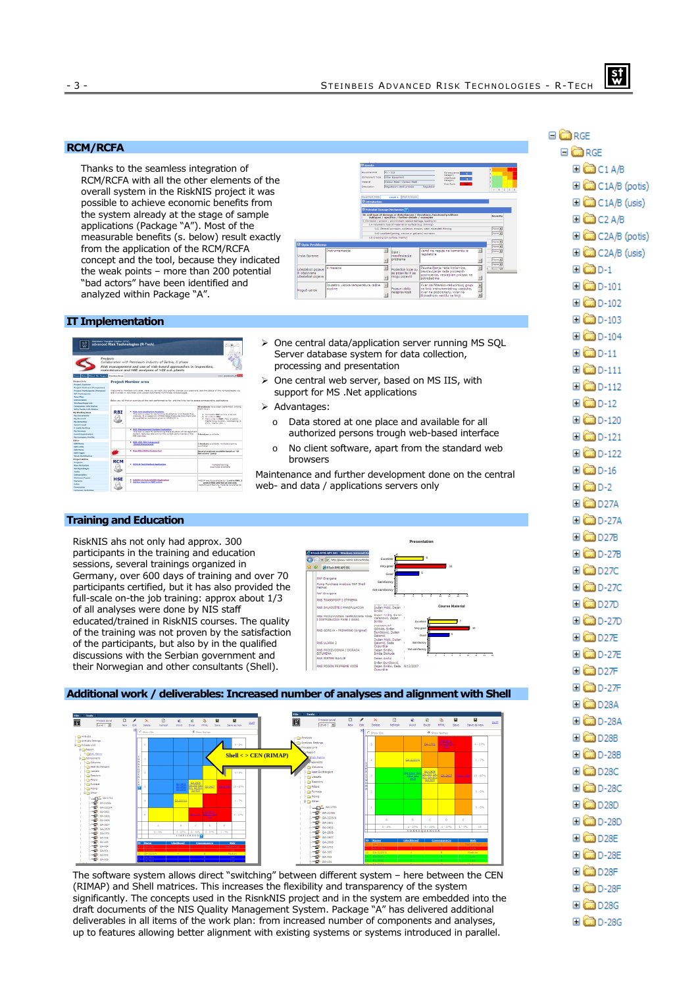# **RCM/RCFA**

Thanks to the seamless integration of RCM/RCFA with all the other elements of the overall system in the RiskNIS project it was possible to achieve economic benefits from the system already at the stage of sample applications (Package "A"). Most of the measurable benefits (s. below) result exactly from the application of the RCM/RCFA concept and the tool, because they indicated the weak points – more than 200 potential "bad actors" have been identified and analyzed within Package "A".



#### **IT Implementation**

|                                                                                                                                                              | Steinbeis Transfer Center (STC) | advanced Risk Technologies (R-Tech)                                                                                                                                                                                 |                                                                                                                                                                                                                            |
|--------------------------------------------------------------------------------------------------------------------------------------------------------------|---------------------------------|---------------------------------------------------------------------------------------------------------------------------------------------------------------------------------------------------------------------|----------------------------------------------------------------------------------------------------------------------------------------------------------------------------------------------------------------------------|
|                                                                                                                                                              | Project:                        | Collaboration with Petroleum Industry of Serbia. II phase<br>Risk management and use of risk-based approaches in inspection,<br>maintenance and HSE analyses of NIS a.d. plants                                     |                                                                                                                                                                                                                            |
| Home News About the Project Hambor Area                                                                                                                      |                                 |                                                                                                                                                                                                                     | user: Joyanovic 5                                                                                                                                                                                                          |
| Project Info<br><b>Project Explorer</b><br><b>Project Partners (Companies)</b>                                                                               |                                 | <b>Project Member area</b>                                                                                                                                                                                          |                                                                                                                                                                                                                            |
| <b>Project Participants (Persons)</b><br><b>WP Participants</b><br><b>Time Plan</b>                                                                          |                                 | Walterna to Hamburg-only anta, Hara vou can add your analis, thanks your exampled, ask the status of the continuities as you<br>are involved in 'doublead and volved documents from those vorbinarizanes.           |                                                                                                                                                                                                                            |
| <b><i><u>Parliamentalidae</u></i></b><br>Workpackage List                                                                                                    |                                 | Below you will find an overview of the voris performed so far, and the links how to access company-dine applications.                                                                                               |                                                                                                                                                                                                                            |
| Companies Info Status<br>WPs/Tasks Info Status<br><b>Hy Warking Area</b><br><b>My Darymants</b><br><b>Hy Arragat</b><br><b>My Activities</b><br>Send Evenall | <b>RBI</b>                      | . Hill that Qualitative Analysis<br>This teel is used for performing Qualitative, Unit Based Kisk<br>Analysis. It is based on AFISS1 Ease Assource Cocument and<br>its muslifative verythneir cives in approprie a. | 65 analyses have been carlormed, among<br><b>Bham (e.g.)</b><br>. Complete RGE as one analysis<br>a all costs in times.<br>. Main units in RSP: FCC (\$ 2200).<br>Platforming (5.300), Visbreaking (5.<br>2000 - Merox LPO |
| <b>Expendix Anchiore</b><br>My Services<br><b>Event Benishration</b><br>My Company Profile                                                                   |                                 | . 921; Management System Evaluation<br>This tool is used for performing the evaluation of Hanagement.<br>Sustain features relevant for the correct performance of the<br><b>Edit articles</b>                       | 3 Analyses available.                                                                                                                                                                                                      |
| <b>Editor</b><br><b>Edit News</b><br>Edit Links                                                                                                              |                                 | . R81: AFC 581 Component<br><b><i><u>Dated Assessment</u></i></b>                                                                                                                                                   | 2 Analyzes svalable, multiple training<br><b>WEBSTER</b>                                                                                                                                                                   |
| Edit Hans<br>Edit Pases<br><b>Week Distribution</b>                                                                                                          |                                 | . New RELINCEA Analyje Tool                                                                                                                                                                                         | Several analyses available based on "55<br>had actors" query                                                                                                                                                               |
| Project Admin.<br>Projects<br><b>Main Activities</b><br>Workpackages<br>Tasks<br><b>Palmerships</b>                                                          | <b>RCM</b>                      | . RCM R-Tech Method Application                                                                                                                                                                                     | Multiple training<br>everywher available.                                                                                                                                                                                  |
| Statuses/Ivees<br>Persons<br><b>Holes</b><br>Companies                                                                                                       | <b>HSE</b>                      | . HAZOP: R Tech HAZOP Application<br>. Safety report for RNP online                                                                                                                                                 | HAZOD results available for 1 and in \$200. 2.<br>units in RNS and RGS as one unit.<br>Reports and braining material available so<br>he.                                                                                   |

- $\triangleright$  One central data/application server running MS SOL Server database system for data collection, processing and presentation
- One central web server, based on MS IIS, with support for MS .Net applications
- $\triangleright$  Advantages:
	- o Data stored at one place and available for all authorized persons trough web-based interface
	- o No client software, apart from the standard web browsers

Maintenance and further development done on the central web- and data / applications servers only

# **Training and Education**

RiskNIS ahs not only had approx. 300 participants in the training and education sessions, several trainings organized in Germany, over 600 days of training and over 70 participants certified, but it has also provided the full-scale on-the job training: approx about 1/3 of all analyses were done by NIS staff educated/trained in RiskNIS courses. The quality of the training was not proven by the satisfaction of the participants, but also by in the qualified discussions with the Serbian government and their Norwegian and other consultants (Shell).



#### **Additional work / deliverables: Increased number of analyses and alignment with Shell**



The software system allows direct "switching" between different system – here between the CEN (RIMAP) and Shell matrices. This increases the flexibility and transparency of the system significantly. The concepts used in the RisnkNIS project and in the system are embedded into the draft documents of the NIS Quality Management System. Package "A" has delivered additional deliverables in all items of the work plan: from increased number of components and analyses, up to features allowing better alignment with existing systems or systems introduced in parallel.

| <b>EI</b> CORGE              |
|------------------------------|
| ⊟ <mark>ûn</mark> RGE        |
| ⊞ <b>aa</b> cia/B            |
| C1A/B (potis)                |
| E C1A/B (usis)               |
| ⊞ <mark>ûn</mark> C2 A/B     |
| E C2A/B (potis)              |
| <b>EI</b> C2A/B (usis)       |
| ⊞ © D-1                      |
| $\boxplus$ $\bigoplus$ D-101 |
| $\Box$ 0-102                 |
| <b>⊞ □</b> D-103             |
| $\Box$ 0-104                 |
| ⊞ © D-11                     |
| $\boxplus$ $\bigoplus$ D-111 |
| $\square$ $\square$ D-112    |
| ⊞ <mark>(</mark> D-12        |
| <b>□ □</b> D-120             |
| ⊞ <b>co</b> dd>121           |
| 国 <b>面</b> D-122             |
| ⊞ <mark>@</mark> D-16        |
| ⊞ <mark>@</mark> D-2         |
| <b>⊞ □</b> D27A              |
| <b>ED</b> D-27A              |
| <b>EI @D27B</b>              |
| <b>ED</b> D-27B              |
| ⊞ <b>ca</b> d270             |
| <b>⊞ □</b> D-27C             |
| ⊞ <mark>@</mark> D27D        |
| <b>⊞ □</b> D-27D             |
| <b>□ □</b> D27E              |
| <b>⊞  D-27E</b>              |
| $\blacksquare$ D27F          |
| <b>⊞ □</b> D-27F             |
| <b>□ □</b> D28A              |
| <b>□ □</b> D-28A             |
| $\Box$ D28B                  |
| $\Box$ D-28B                 |
|                              |
| ⊞ <b>coo</b> dd - 280        |
| ⊞ <mark>@</mark> D28D        |
| 国 <b>面D-28D</b>              |
| ⊞ <b>ca</b> d28E             |
| <b>⊞ □</b> D-28E             |
| ⊞ <mark>@</mark> D28F        |
| 国 <b>面</b> D-28F             |
| <b>□ □</b> D28G              |
| <b>□  D-28G</b>              |

 $\boldsymbol{\mathsf{st}}$